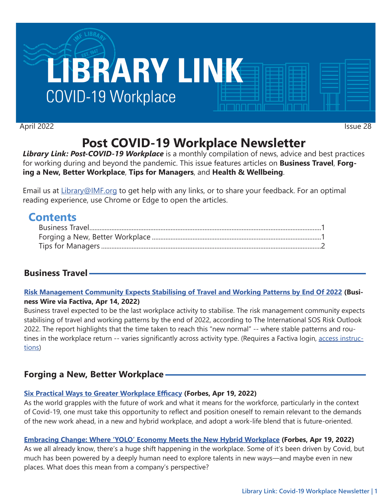

April 2022 Issue 28

# **Post COVID-19 Workplace Newsletter**

*Library Link: Post-COVID-19 Workplace* is a monthly compilation of news, advice and best practices for working during and beyond the pandemic. This issue features articles on **Business Travel**, **Forging a New, Better Workplace**, **Tips for Managers**, and **Health & Wellbeing**.

Email us at [Library@IMF.org](mailto:Library%40IMF.org?subject=) to get help with any links, or to share your feedback. For an optimal reading experience, use Chrome or Edge to open the articles.

# **Contents**

# **Business Travel**

#### **[Risk Management Community Expects Stabilising of Travel and Working Patterns by End Of 2022](http://t.imfconnect.imf.org/r/?id=h863987,35e5a8a,35eee36) (Business Wire via Factiva, Apr 14, 2022)**

Business travel expected to be the last workplace activity to stabilise. The risk management community expects stabilising of travel and working patterns by the end of 2022, according to The International SOS Risk Outlook 2022. The report highlights that the time taken to reach this "new normal" -- where stable patterns and routines in the workplace return -- varies significantly across activity type. (Requires a Factiva login, [access instruc](http://t.imfconnect.imf.org/r/?id=h863987,35e5a8a,35eee37)[tions\)](http://t.imfconnect.imf.org/r/?id=h863987,35e5a8a,35eee37)

# **Forging a New, Better Workplace**

#### **[Six Practical Ways to Greater Workplace Efficacy](http://t.imfconnect.imf.org/r/?id=h863987,35e5a8a,35eee38) (Forbes, Apr 19, 2022)**

As the world grapples with the future of work and what it means for the workforce, particularly in the context of Covid-19, one must take this opportunity to reflect and position oneself to remain relevant to the demands of the new work ahead, in a new and hybrid workplace, and adopt a work-life blend that is future-oriented.

#### **[Embracing Change: Where 'YOLO' Economy Meets the New Hybrid Workplace](http://t.imfconnect.imf.org/r/?id=h863987,35e5a8a,35eee39) (Forbes, Apr 19, 2022)**

As we all already know, there's a huge shift happening in the workplace. Some of it's been driven by Covid, but much has been powered by a deeply human need to explore talents in new ways—and maybe even in new places. What does this mean from a company's perspective?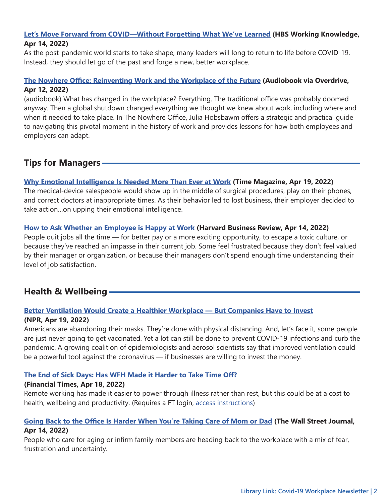#### <span id="page-1-0"></span>**[Let's Move Forward from COVID—Without Forgetting What We've Learned](http://t.imfconnect.imf.org/r/?id=h863987,35e5a8a,35eee3a) (HBS Working Knowledge, Apr 14, 2022)**

As the post-pandemic world starts to take shape, many leaders will long to return to life before COVID-19. Instead, they should let go of the past and forge a new, better workplace.

#### **[The Nowhere Office: Reinventing Work and the Workplace of the Future](http://t.imfconnect.imf.org/r/?id=h863987,35e5a8a,35eee3b) (Audiobook via Overdrive, Apr 12, 2022)**

(audiobook) What has changed in the workplace? Everything. The traditional office was probably doomed anyway. Then a global shutdown changed everything we thought we knew about work, including where and when it needed to take place. In The Nowhere Office, Julia Hobsbawm offers a strategic and practical guide to navigating this pivotal moment in the history of work and provides lessons for how both employees and employers can adapt.

### **Tips for Managers**

#### **[Why Emotional Intelligence Is Needed More Than Ever at Work](http://t.imfconnect.imf.org/r/?id=h863987,35e5a8a,35eee3c) (Time Magazine, Apr 19, 2022)**

The medical-device salespeople would show up in the middle of surgical procedures, play on their phones, and correct doctors at inappropriate times. As their behavior led to lost business, their employer decided to take action…on upping their emotional intelligence.

#### **[How to Ask Whether an Employee is Happy at Work](http://t.imfconnect.imf.org/r/?id=h863987,35e5a8a,35eee3d) (Harvard Business Review, Apr 14, 2022)**

People quit jobs all the time — for better pay or a more exciting opportunity, to escape a toxic culture, or because they've reached an impasse in their current job. Some feel frustrated because they don't feel valued by their manager or organization, or because their managers don't spend enough time understanding their level of job satisfaction.

## **Health & Wellbeing**

#### **[Better Ventilation Would Create a Healthier Workplace — But Companies Have to Invest](http://t.imfconnect.imf.org/r/?id=h863987,35e5a8a,35eee3e)**

#### **(NPR, Apr 19, 2022)**

Americans are abandoning their masks. They're done with physical distancing. And, let's face it, some people are just never going to get vaccinated. Yet a lot can still be done to prevent COVID-19 infections and curb the pandemic. A growing coalition of epidemiologists and aerosol scientists say that improved ventilation could be a powerful tool against the coronavirus — if businesses are willing to invest the money.

#### **[The End of Sick Days: Has WFH Made it Harder to Take Time Off?](http://t.imfconnect.imf.org/r/?id=h863987,35e5a8a,35eee3f)**

#### **(Financial Times, Apr 18, 2022)**

Remote working has made it easier to power through illness rather than rest, but this could be at a cost to health, wellbeing and productivity. (Requires a FT login, [access instructions](http://t.imfconnect.imf.org/r/?id=h863987,35e5a8a,35eee40))

#### **[Going Back to the Office Is Harder When You're Taking Care of Mom or Dad](http://t.imfconnect.imf.org/r/?id=h863987,35e5a8a,35eee41) (The Wall Street Journal, Apr 14, 2022)**

People who care for aging or infirm family members are heading back to the workplace with a mix of fear, frustration and uncertainty.